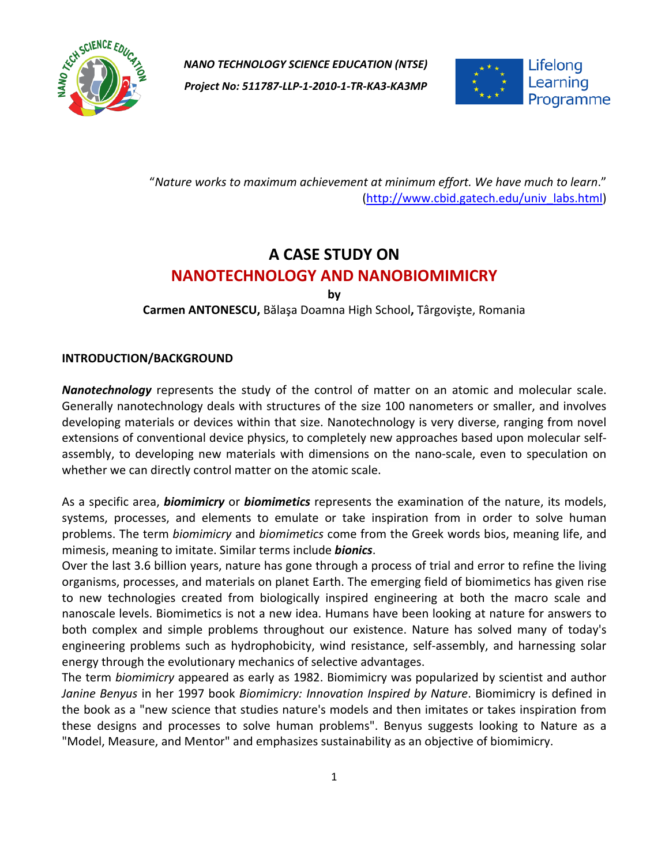



"*Nature works to maximum achievement at minimum effort. We have much to learn*." [\(http://www.cbid.gatech.edu/univ\\_labs.html\)](http://www.cbid.gatech.edu/univ_labs.html)

# **A CASE STUDY ON NANOTECHNOLOGY AND NANOBIOMIMICRY**

**by**

**Carmen ANTONESCU,** Bălaşa Doamna High School**,** Târgovişte, Romania

## **INTRODUCTION/BACKGROUND**

*Nanotechnology* represents the study of the control of matter on an atomic and molecular scale. Generally nanotechnology deals with structures of the size 100 nanometers or smaller, and involves developing materials or devices within that size. Nanotechnology is very diverse, ranging from novel extensions of conventional device physics, to completely new approaches based upon molecular selfassembly, to developing new materials with dimensions on the nano-scale, even to speculation on whether we can directly control matter on the atomic scale.

As a specific area, *biomimicry* or *[biomimetics](http://en.wikipedia.org/wiki/Biomimetics)* represents the examination of the nature, its models, systems, processes, and elements to emulate or take inspiration from in order to solve human problems. The term *biomimicry* and *biomimetics* come from the Greek words bios, meaning life, and mimesis, meaning to imitate. Similar terms include *bionics*.

Over the last 3.6 billion years, nature has gone through a process of trial and error to refine the living organisms, processes, and materials on planet Earth. The emerging field of biomimetics has given rise to new technologies created from biologically inspired engineering at both the macro scale and nanoscale levels. Biomimetics is not a new idea. Humans have been looking at nature for answers to both complex and simple problems throughout our existence. Nature has solved many of today's engineering problems such as hydrophobicity, wind resistance, self-assembly, and harnessing solar energy through the evolutionary mechanics of selective advantages.

The term *biomimicry* appeared as early as 1982. Biomimicry was popularized by scientist and author *Janine Benyus* in her 1997 book *Biomimicry: Innovation Inspired by Nature*. Biomimicry is defined in the book as a "new science that studies nature's models and then imitates or takes inspiration from these designs and processes to solve human problems". Benyus suggests looking to Nature as a "Model, Measure, and Mentor" and emphasizes sustainability as an objective of biomimicry.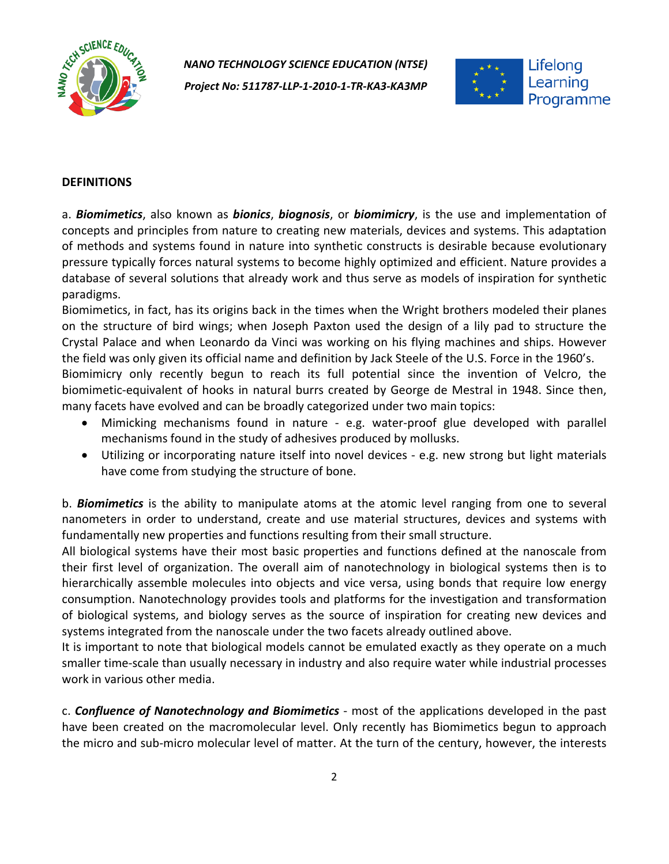



#### **DEFINITIONS**

a. *Biomimetics*, also known as *bionics*, *biognosis*, or *biomimicry*, is the use and implementation of concepts and principles from nature to creating new materials, devices and systems. This adaptation of methods and systems found in nature into synthetic constructs is desirable because evolutionary pressure typically forces natural systems to become highly optimized and efficient. Nature provides a database of several solutions that already work and thus serve as models of inspiration for synthetic paradigms.

Biomimetics, in fact, has its origins back in the times when the Wright brothers modeled their planes on the structure of bird wings; when Joseph Paxton used the design of a lily pad to structure the Crystal Palace and when Leonardo da Vinci was working on his flying machines and ships. However the field was only given its official name and definition by Jack Steele of the U.S. Force in the 1960's.

Biomimicry only recently begun to reach its full potential since the invention of Velcro, the biomimetic-equivalent of hooks in natural burrs created by George de Mestral in 1948. Since then, many facets have evolved and can be broadly categorized under two main topics:

- Mimicking mechanisms found in nature e.g. water-proof glue developed with parallel mechanisms found in the study of adhesives produced by mollusks.
- Utilizing or incorporating nature itself into novel devices e.g. new strong but light materials have come from studying the structure of bone.

b. *Biomimetics* is the ability to manipulate atoms at the atomic level ranging from one to several nanometers in order to understand, create and use material structures, devices and systems with fundamentally new properties and functions resulting from their small structure.

All biological systems have their most basic properties and functions defined at the nanoscale from their first level of organization. The overall aim of nanotechnology in biological systems then is to hierarchically assemble molecules into objects and vice versa, using bonds that require low energy consumption. Nanotechnology provides tools and platforms for the investigation and transformation of biological systems, and biology serves as the source of inspiration for creating new devices and systems integrated from the nanoscale under the two facets already outlined above.

It is important to note that biological models cannot be emulated exactly as they operate on a much smaller time-scale than usually necessary in industry and also require water while industrial processes work in various other media.

c. *Confluence of Nanotechnology and Biomimetics* - most of the applications developed in the past have been created on the macromolecular level. Only recently has Biomimetics begun to approach the micro and sub-micro molecular level of matter. At the turn of the century, however, the interests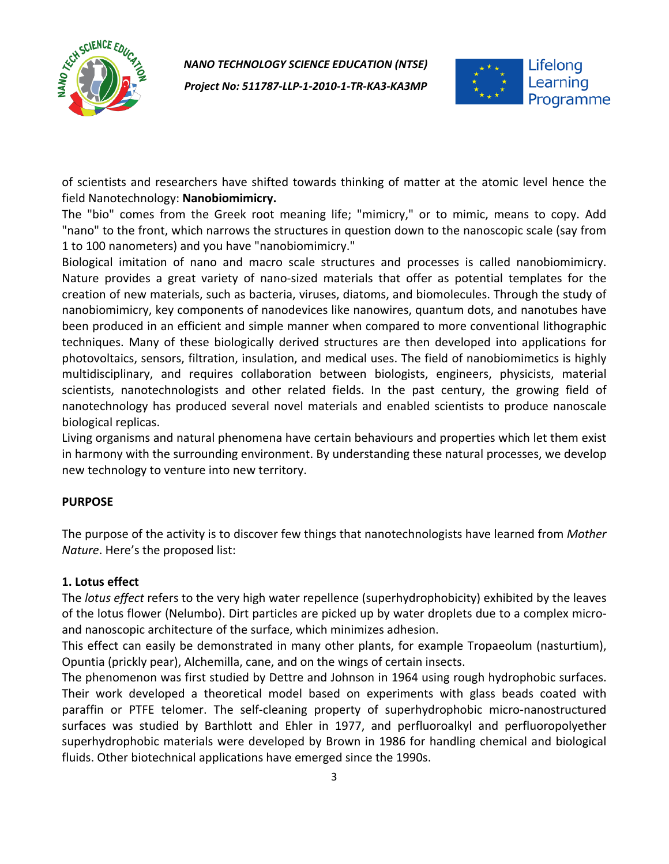

*Project No: 511787-LLP-1-2010-1-TR-KA3-KA3MP*



of scientists and researchers have shifted towards thinking of matter at the atomic level hence the field Nanotechnology: **Nanobiomimicry.**

The "bio" comes from the Greek root meaning life; "mimicry," or to mimic, means to copy. Add "nano" to the front, which narrows the structures in question down to the nanoscopic scale (say from 1 to 100 nanometers) and you have "nanobiomimicry."

Biological imitation of nano and macro scale structures and processes is called nanobiomimicry. Nature provides a great variety of nano-sized materials that offer as potential templates for the creation of new materials, such as bacteria, viruses, diatoms, and biomolecules. Through the study of nanobiomimicry, key components of nanodevices like [nanowires](http://en.wikipedia.org/wiki/Nanowire), [quantum](http://en.wikipedia.org/wiki/Quantum_dot) dots, and nanotubes have been produced in an efficient and simple manner when compared to more conventional lithographic techniques. Many of these biologically derived structures are then developed into applications for photovoltaics, sensors, filtration, insulation, and medical uses. The field of nanobiomimetics is highly multidisciplinary, and requires collaboration between biologists, engineers, physicists, material scientists, nanotechnologists and other related fields. In the past century, the growing field of nanotechnology has produced several novel materials and enabled scientists to produce nanoscale biological replicas.

Living organisms and natural phenomena have certain behaviours and properties which let them exist in harmony with the surrounding environment. By understanding these natural processes, we develop new technology to venture into new territory.

## **PURPOSE**

The purpose of the activity is to discover few things that nanotechnologists have learned from *Mother Nature*. Here's the proposed list:

#### **1. Lotus effect**

The *lotus effect* refers to the very high water repellence [\(superhydrophobicity\)](http://en.wikipedia.org/wiki/Superhydrophobic) exhibited by the leaves of the lotus flower [\(Nelumbo\)](http://en.wikipedia.org/wiki/Nelumbo). Dirt particles are picked up by water droplets due to a complex microand nanoscopic architecture of the surface, which minimizes adhesion.

This effect can easily be demonstrated in many other plants, for example [Tropaeolum](http://en.wikipedia.org/wiki/Tropaeolum) (nasturtium), [Opuntia](http://en.wikipedia.org/wiki/Opuntia) (prickly pear), [Alchemilla](http://en.wikipedia.org/wiki/Alchemilla), cane, and on the wings of certain insects.

The phenomenon was first studied by Dettre and Johnson in 1964 using rough hydrophobic surfaces. Their work developed a theoretical model based on experiments with glass beads coated with paraffin or PTFE telomer. The self-cleaning property of superhydrophobic micro[-nanostructured](http://en.wikipedia.org/wiki/Nanotechnology) surfaces was studied by Barthlott and Ehler in 1977, and perfluoroalkyl and perfluoropolyether [superhydrophobic](http://en.wikipedia.org/wiki/Superhydrophobic) materials were developed by Brown in 1986 for handling chemical and biological fluids. Other biotechnical applications have emerged since the 1990s.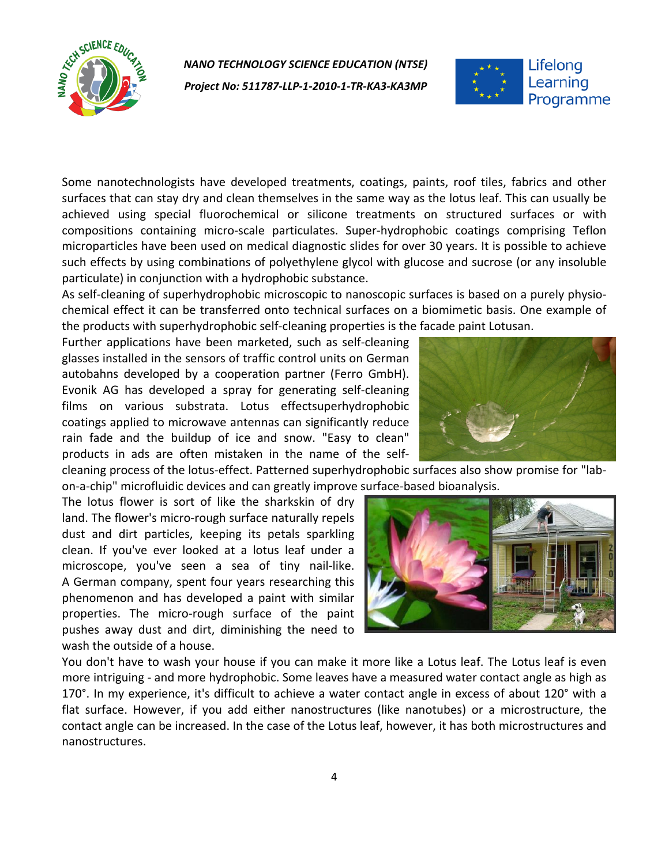



Some [nanotechnologists](http://en.wikipedia.org/wiki/Nanotechnology) have developed treatments, coatings, paints, roof tiles, fabrics and other surfaces that can stay dry and clean themselves in the same way as the lotus leaf. This can usually be achieved using special fluorochemical or silicone treatments on structured surfaces or with compositions containing micro-scale particulates. Super-hydrophobic coatings comprising Teflon microparticles have been used on medical diagnostic slides for over 30 years. It is possible to achieve such effects by using combinations of [polyethylene](http://en.wikipedia.org/wiki/Polyethylene_glycol) glycol with [glucose](http://en.wikipedia.org/wiki/Glucose) and [sucrose](http://en.wikipedia.org/wiki/Sucrose) (or any insoluble particulate) in conjunction with a hydrophobic substance.

As self-cleaning of superhydrophobic microscopic to nanoscopic surfaces is based on a purely physiochemical effect it can be transferred onto technical surfaces on a biomimetic basis. One example of the products with superhydrophobic self-cleaning properties is the facade [paint](http://en.wikipedia.org/wiki/Paint) Lotusan.

Further applications have been marketed, such as self-cleaning glasses installed in the sensors of traffic control units on German autobahns developed by a cooperation partner (Ferro GmbH). Evonik AG has developed a spray for generating self-cleaning films on various substrata. Lotus effec[tsuperhydrophobic](http://en.wikipedia.org/wiki/Superhydrophobic) coatings applied to microwave antennas can significantly reduce rain [fade](http://en.wikipedia.org/wiki/Rain_fade) and the buildup of ice and snow. "Easy to clean" products in ads are often mistaken in the name of the self-

cleaning process of the lotus-effect. Patterned superhydrophobic surfaces also show promise for "labon-a-chip" microfluidic devices and can greatly improve surface-based bioanalysis.

The lotus flower is sort of like the sharkskin of dry land. The flower's micro-rough surface naturally repels dust and dirt particles, keeping its petals sparkling clean. If you've ever looked at a lotus leaf under a microscope, you've seen a sea of tiny nail-like. A German company, spent four years [researching](http://www.odemagazine.com/doc/18/paint_inspired_by_a_lotus_flower/) this [phenomenon](http://www.odemagazine.com/doc/18/paint_inspired_by_a_lotus_flower/) and has developed a paint with similar properties. The micro-rough surface of the paint pushes away dust and dirt, diminishing the need to wash the outside of a house.



You don't have to wash your house if you can make it more like a Lotus leaf. The Lotus leaf is even more intriguing - and more hydrophobic. Some leaves have a measured water contact angle as high as 170°. In my experience, it's difficult to achieve a water contact angle in excess of about 120° with a flat surface. However, if you add either nanostructures (like nanotubes) or a microstructure, the contact angle can be increased. In the case of the Lotus leaf, however, it has both microstructures and nanostructures.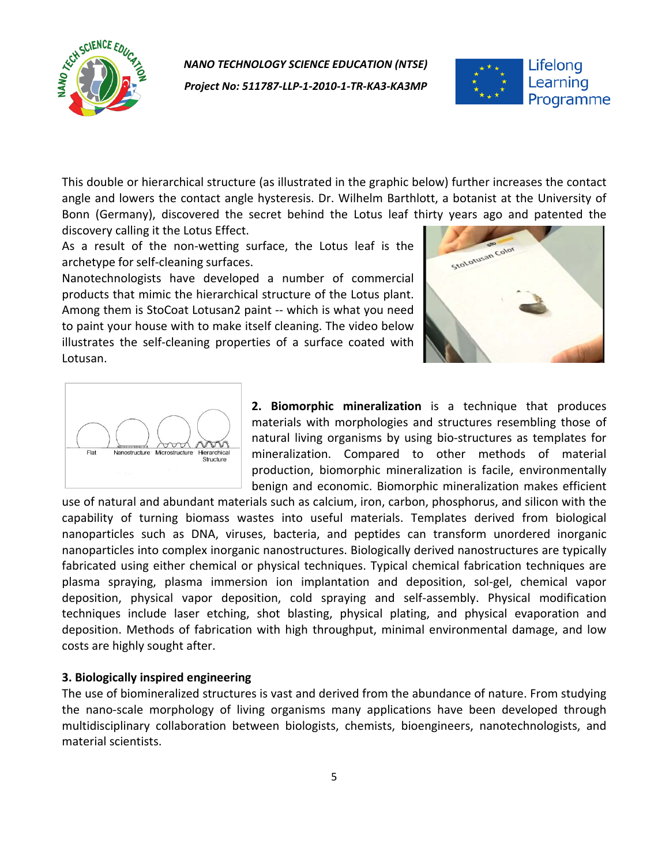



This double or hierarchical structure (as illustrated in the graphic below) further increases the contact angle and lowers the contact angle hysteresis. Dr. Wilhelm Barthlott, a botanist at the University of Bonn (Germany), discovered the secret behind the Lotus leaf thirty years ago and patented the discovery calling it the Lotus Effect.

As a result of the non-wetting surface, the Lotus leaf is the archetype for self-cleaning surfaces.

Nanotechnologists have developed a number of commercial products that mimic the hierarchical structure of the Lotus plant. Among them is StoCoat Lotusan2 paint -- which is what you need to paint your house with to make itself cleaning. The video below illustrates the self-cleaning properties of a surface coated with Lotusan.





**2. Biomorphic mineralization** is a technique that produces materials with morphologies and structures resembling those of natural living organisms by using bio-structures as templates for mineralization. Compared to other methods of material production, biomorphic mineralization is facile, environmentally benign and economic. Biomorphic mineralization makes efficient

use of natural and abundant materials such as calcium, iron, carbon, phosphorus, and silicon with the capability of turning biomass wastes into useful materials. Templates derived from biological nanoparticles such as DNA, viruses, bacteria, and peptides can transform unordered inorganic nanoparticles into complex inorganic nanostructures. Biologically derived nanostructures are typically fabricated using either chemical or physical techniques. Typical chemical fabrication techniques are plasma [spraying](http://en.wikipedia.org/wiki/Thermal_spraying), plasma immersion ion implantation and deposition, [sol-gel](http://en.wikipedia.org/wiki/Sol%E2%80%93gel), [chemical](http://en.wikipedia.org/wiki/Chemical_vapor_deposition) vapor [deposition](http://en.wikipedia.org/wiki/Chemical_vapor_deposition), physical vapor deposition, cold spraying and [self-assembly.](http://en.wikipedia.org/wiki/Self-assembly) Physical modification techniques include laser etching, shot blasting, physical plating, and physical evaporation and deposition. Methods of fabrication with high throughput, minimal environmental damage, and low costs are highly sought after.

#### **3. Biologically inspired engineering**

The use of biomineralized structures is vast and derived from the abundance of nature. From studying the nano-scale morphology of living organisms many applications have been developed through multidisciplinary collaboration between biologists, chemists, bioengineers, nanotechnologists, and material scientists.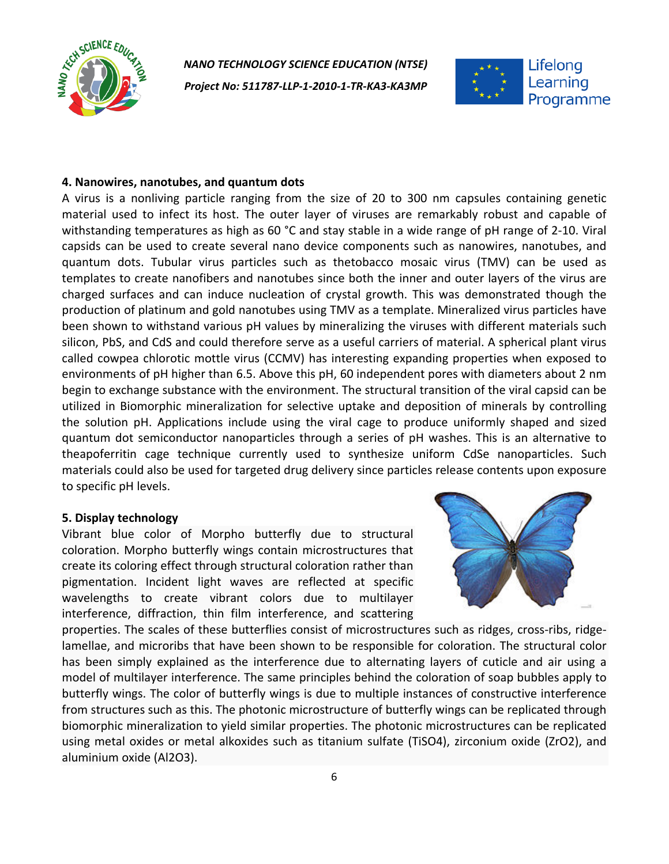



#### **4. Nanowires, nanotubes, and quantum dots**

A [virus](http://en.wikipedia.org/wiki/Virus) is a nonliving particle ranging from the size of 20 to 300 nm capsules containing genetic material used to infect its host. The outer layer of viruses are remarkably robust and capable of withstanding temperatures as high as 60 °C and stay stable in a wide range of [pH](http://en.wikipedia.org/wiki/PH) range of 2-10. Viral capsids can be used to create several nano device components such as nanowires, nanotubes, and quantum dots. Tubular virus particles such as th[etobacco](http://en.wikipedia.org/wiki/Tobacco_mosaic_virus) mosaic virus (TMV) can be used as templates to create nanofibers and nanotubes since both the inner and outer layers of the virus are charged surfaces and can induce nucleation of crystal growth. This was demonstrated though the production of [platinum](http://en.wikipedia.org/wiki/Platinum) and [gold](http://en.wikipedia.org/wiki/Gold) nanotubes using TMV as a template. Mineralized virus particles have been shown to withstand various pH values by mineralizing the viruses with different materials such silicon, [PbS](http://en.wikipedia.org/wiki/Lead(II)_sulfide), and [CdS](http://en.wikipedia.org/wiki/Cadmium_sulfide) and could therefore serve as a useful carriers of material. A spherical plant virus called cowpea [chlorotic](http://en.wikipedia.org/wiki/Cowpea_chlorotic_mottle_virus) mottle virus (CCMV) has interesting expanding properties when exposed to environments of pH higher than 6.5. Above this pH, 60 independent pores with diameters about 2 nm begin to exchange substance with the environment. The structural transition of the viral capsid can be utilized in Biomorphic [mineralization](http://en.wikipedia.org/wiki/Biomineralization) for selective uptake and deposition of minerals by controlling the solution pH. Applications include using the viral cage to produce uniformly shaped and sized quantum dot [semiconductor](http://en.wikipedia.org/wiki/Semiconductor) nanoparticles through a series of pH washes. This is an alternative to th[eapoferritin](http://en.wikipedia.org/wiki/Ferritin) cage technique currently used to synthesize uniform CdSe nanoparticles. Such materials could also be used for targeted drug delivery since particles release contents upon exposure to specific pH levels.

#### **5. Display technology**

Vibrant blue color of [Morpho](http://en.wikipedia.org/wiki/Morpho) butterfly due to [structural](http://en.wikipedia.org/wiki/Structural_coloration) [coloration.](http://en.wikipedia.org/wiki/Structural_coloration) [Morpho](http://en.wikipedia.org/wiki/Morpho) butterfly wings contain microstructures that create its coloring effect through structural [coloration](http://en.wikipedia.org/wiki/Structural_coloration) rather than [pigmentation.](http://en.wikipedia.org/wiki/Pigment) Incident light waves are reflected at specific wavelengths to create vibrant colors due to multilayer interference, diffraction, thin film interference, and scattering



properties. The scales of these butterflies consist of microstructures such as ridges, cross-ribs, ridgelamellae, and microribs that have been shown to be responsible for coloration. The structural color has been simply explained as the interference due to alternating layers of cuticle and air using a model of multilayer [interference.](http://en.wikipedia.org/wiki/Thin-film_interference) The same principles behind the coloration of soap [bubbles](http://en.wikipedia.org/wiki/Soap_bubble) apply to butterfly wings. The color of butterfly wings is due to multiple instances of constructive [interference](http://en.wikipedia.org/wiki/Interference_(wave_propagation)) from structures such as this. The photonic microstructure of butterfly wings can be replicated through biomorphic mineralization to yield similar properties. The photonic microstructures can be replicated using metal oxides or metal alkoxides such as [titanium](http://en.wikipedia.org/w/index.php?title=Titanium_sulfate&action=edit&redlink=1) sulfate (TiSO4), [zirconium](http://en.wikipedia.org/wiki/Zirconium_oxide) oxide (ZrO2), and [aluminium](http://en.wikipedia.org/wiki/Aluminium_oxide) oxide (Al2O3).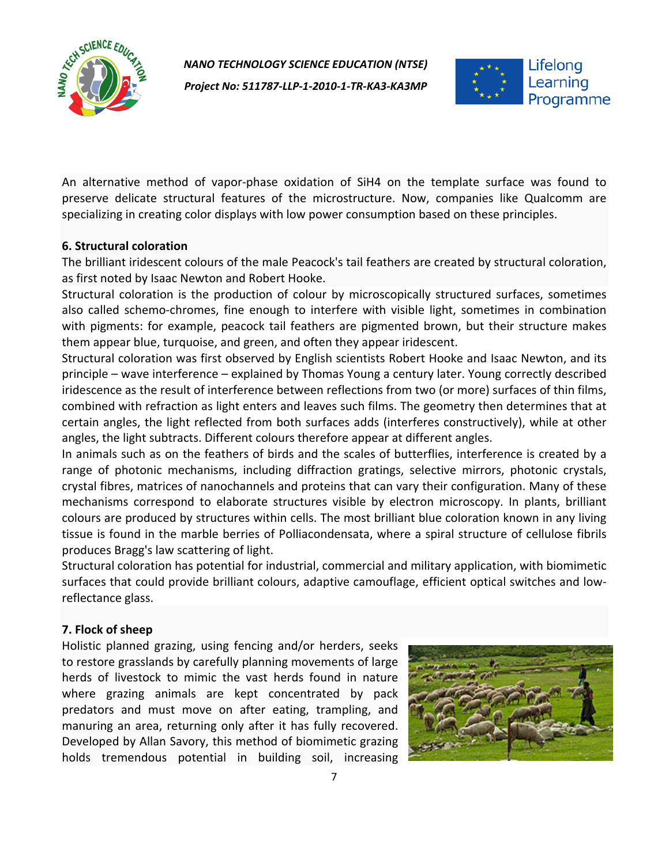



An alternative method of vapor-phase oxidation of SiH4 on the template surface was found to preserve delicate structural features of the microstructure. Now, companies like [Qualcomm](http://en.wikipedia.org/wiki/Qualcomm) are specializing in creating color displays with low power consumption based on these principles.

## **6. Structural coloration**

The brilliant iridescent colours of the male Peacock's tail feathers are created by structural coloration, as first noted by [Isaac Newton](http://en.wikipedia.org/wiki/Isaac_Newton) and [Robert Hooke.](http://en.wikipedia.org/wiki/Robert_Hooke)

Structural coloration is the production of colour by microscopically structured surfaces, sometimes also called schemo-chromes, fine enough to interfere with [visible light](http://en.wikipedia.org/wiki/Visible_light), sometimes in combination with [pigments](http://en.wikipedia.org/wiki/Pigment): for example, [peacock](http://en.wikipedia.org/wiki/Peacock) tail [feathers](http://en.wikipedia.org/wiki/Feather) are pigmented brown, but their structure makes them appear blue, turquoise, and green, and often they appear [iridescent.](http://en.wikipedia.org/wiki/Iridescence)

Structural coloration was first observed by English scientists Robert Hooke and Isaac Newton, and its principle – [wave interference](http://en.wikipedia.org/wiki/Wave_interference) – explained by Thomas Young a century later. Young correctly described iridescence as the result of interference between reflections from two (or more) surfaces of [thin films](http://en.wikipedia.org/wiki/Thin_films), combined with refraction as light enters and leaves such films. The geometry then determines that at certain angles, the light reflected from both surfaces adds (interferes constructively), while at other angles, the light subtracts. Different colours therefore appear at different angles.

[In animals](http://en.wikipedia.org/wiki/Animal_coloration) such as on the feathers of birds and the scales of [butterflies](http://en.wikipedia.org/wiki/Butterfly), interference is created by a range of [photonic](http://en.wikipedia.org/wiki/Photonic) mechanisms, including [diffraction gratings](http://en.wikipedia.org/wiki/Diffraction_grating), selective mirrors, [photonic crystals](http://en.wikipedia.org/wiki/Photonic_crystals), crystal fibres, matrices of nanochannels and proteins that can vary their configuration. Many of these mechanisms correspond to elaborate structures visible by [electron microscopy](http://en.wikipedia.org/wiki/Electron_microscopy). In plants, brilliant colours are produced by structures within cells. The most brilliant blue coloration known in any living tissue is found in the marble berries of [Polliacondensata](http://en.wikipedia.org/wiki/Pollia_condensata), where a spiral structure of cellulose fibrils produces [Bragg's law](http://en.wikipedia.org/wiki/Bragg%27s_law) scattering of light.

Structural coloration has potential for industrial, commercial and military application, with [biomimetic](http://en.wikipedia.org/wiki/Biomimicry) surfaces that could provide brilliant colours, adaptive [camouflage](http://en.wikipedia.org/wiki/Camouflage), efficient optical switches and lowreflectance glass.

# **7. Flock of sheep**

Holistic [planned](http://en.wikipedia.org/wiki/Holistic_management) grazing, using fencing and/or [herders](http://en.wikipedia.org/wiki/Herder), seeks to restore [grasslands](http://en.wikipedia.org/wiki/Grasslands) by carefully planning movements of large [herds](http://en.wikipedia.org/wiki/Herding_behavior) of livestock to mimic the vast herds found in nature where [grazing](http://en.wikipedia.org/wiki/Grazing) animals are kept concentrated by pack predators and must move on after eating, trampling, and manuring an area, returning only after it has fully recovered. Developed by Allan [Savory](http://en.wikipedia.org/wiki/Allan_Savory), this method of biomimetic grazing holds tremendous potential in building soil, increasing

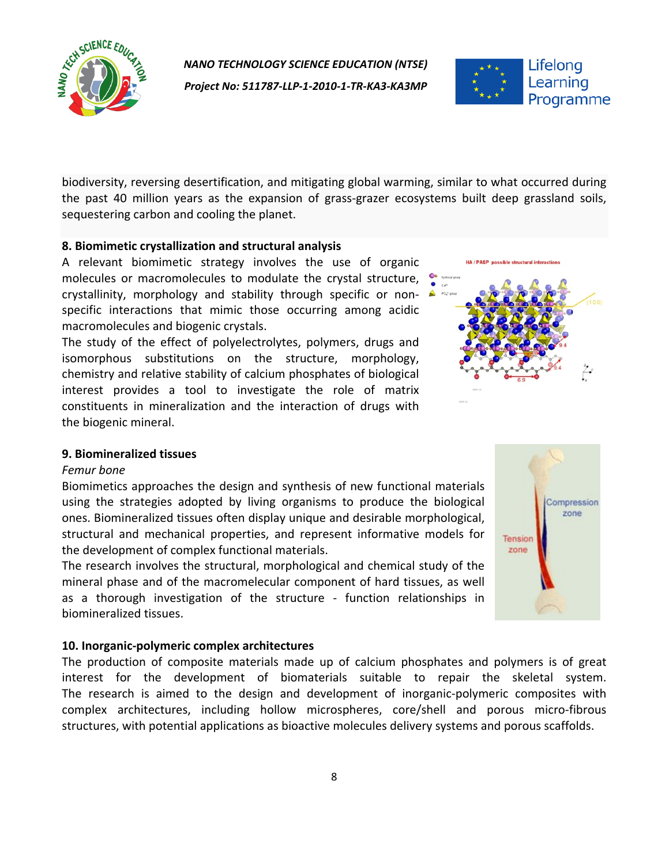



biodiversity, reversing desertification, and mitigating global warming, similar to what occurred during the past 40 million years as the expansion of grass-grazer ecosystems built deep [grassland](http://en.wikipedia.org/wiki/Mollisols) soils, sequestering carbon and cooling the planet.

#### **8. Biomimetic crystallization and structural analysis**

A relevant biomimetic strategy involves the use of organic molecules or macromolecules to modulate the crystal structure, crystallinity, morphology and stability through specific or nonspecific interactions that mimic those occurring among acidic macromolecules and biogenic crystals.

The study of the effect of polyelectrolytes, polymers, drugs and isomorphous substitutions on the structure, morphology, chemistry and relative stability of calcium phosphates of biological interest provides a tool to investigate the role of matrix constituents in mineralization and the interaction of drugs with the biogenic mineral.



#### **9. Biomineralized tissues**

#### *Femur bone*

Biomimetics approaches the design and synthesis of new functional materials using the strategies adopted by living organisms to produce the biological ones. Biomineralized tissues often display unique and desirable morphological, structural and mechanical properties, and represent informative models for the development of complex functional materials.

The research involves the structural, morphological and chemical study of the mineral phase and of the macromelecular component of hard tissues, as well as a thorough investigation of the structure - function relationships in biomineralized tissues.

#### **10. Inorganic-polymeric complex architectures**

The production of composite materials made up of calcium phosphates and polymers is of great interest for the development of biomaterials suitable to repair the skeletal system. The research is aimed to the design and development of inorganic-polymeric composites with complex architectures, including hollow microspheres, core/shell and porous micro-fibrous structures, with potential applications as bioactive molecules delivery systems and porous scaffolds.

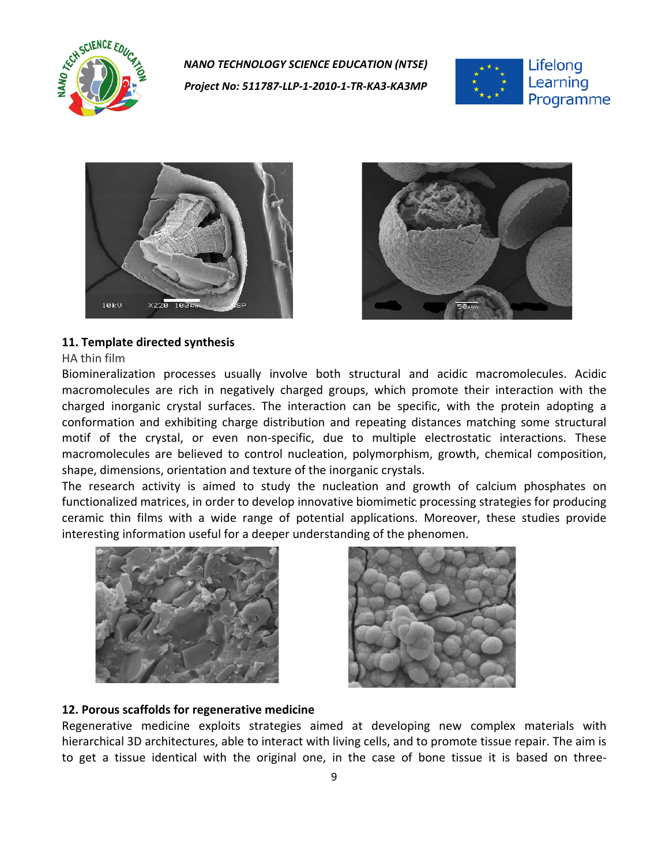







#### **11. Template directed synthesis**

#### HA thin film

Biomineralization processes usually involve both structural and acidic macromolecules. Acidic macromolecules are rich in negatively charged groups, which promote their interaction with the charged inorganic crystal surfaces. The interaction can be specific, with the protein adopting a conformation and exhibiting charge distribution and repeating distances matching some structural motif of the crystal, or even non-specific, due to multiple electrostatic interactions. These macromolecules are believed to control nucleation, polymorphism, growth, chemical composition, shape, dimensions, orientation and texture of the inorganic crystals.

The research activity is aimed to study the nucleation and growth of calcium phosphates on functionalized matrices, in order to develop innovative biomimetic processing strategies for producing ceramic thin films with a wide range of potential applications. Moreover, these studies provide interesting information useful for a deeper understanding of the phenomen.





#### **12. Porous scaffolds for regenerative medicine**

Regenerative medicine exploits strategies aimed at developing new complex materials with hierarchical 3D architectures, able to interact with living cells, and to promote tissue repair. The aim is to get a tissue identical with the original one, in the case of bone tissue it is based on three-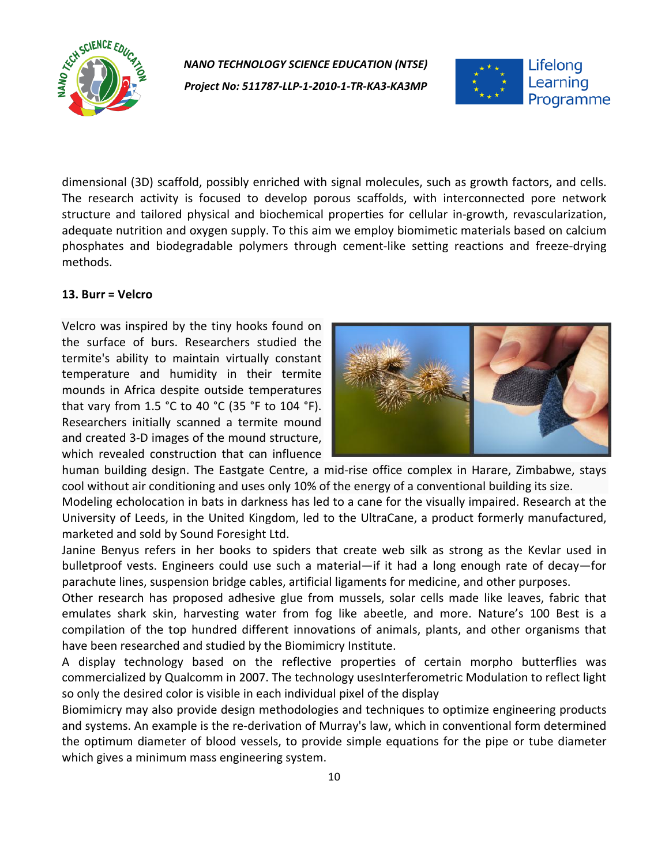



dimensional (3D) scaffold, possibly enriched with signal molecules, such as growth factors, and cells. The research activity is focused to develop porous scaffolds, with interconnected pore network structure and tailored physical and biochemical properties for cellular in-growth, revascularization, adequate nutrition and oxygen supply. To this aim we employ biomimetic materials based on calcium phosphates and biodegradable polymers through cement-like setting reactions and freeze-drying methods.

## **13. Burr = Velcro**

[Velcro](http://en.wikipedia.org/wiki/Velcro) was inspired by the tiny hooks found on the surface of [burs.](http://en.wikipedia.org/wiki/Bur) Researchers studied the termite's ability to maintain virtually constant temperature and humidity in their termite mounds in Africa despite outside temperatures that vary from 1.5 °C to 40 °C (35 °F to 104 °F). Researchers initially scanned a termite mound and created 3-D images of the mound structure, which revealed construction that can influence



human building design. The [Eastgate Centre](http://en.wikipedia.org/wiki/Eastgate_Centre,_Harare), a mid-rise office complex in [Harare](http://en.wikipedia.org/wiki/Harare), [Zimbabwe](http://en.wikipedia.org/wiki/Zimbabwe), stays cool without air conditioning and uses only 10% of the energy of a conventional building its size.

Modeling [echolocation](http://en.wikipedia.org/wiki/Animal_echolocation) in [bats](http://en.wikipedia.org/wiki/Bat) in darkness has led to a cane for the visually impaired. Research at the [University of Leeds](http://en.wikipedia.org/wiki/University_of_Leeds), in the United Kingdom, led to the UltraCane, a product formerly manufactured, marketed and sold by Sound Foresight Ltd.

[Janine Benyus](http://en.wikipedia.org/wiki/Janine_Benyus) refers in her books to [spiders](http://en.wikipedia.org/wiki/Spider) that create web silk as strong as the [Kevlar](http://en.wikipedia.org/wiki/Kevlar) used in [bulletproof vests.](http://en.wikipedia.org/wiki/Ballistic_vest) Engineers could use such a material—if it had a long enough rate of decay—for parachute lines, suspension bridge cables, artificial ligaments for medicine, and other purposes.

Other research has proposed adhesive glue from [mussels](http://en.wikipedia.org/wiki/Mussel), solar cells made like leaves, fabric that emulates [shark](http://en.wikipedia.org/wiki/Shark) skin, harvesting water from fog like [abeetle](http://en.wikipedia.org/wiki/Beetle), and more. Nature's 100 Best is a compilation of the top hundred different innovations of animals, plants, and other organisms that have been researched and studied by the Biomimicry Institute.

A display technology based on the reflective properties of certain [morpho](http://en.wikipedia.org/wiki/Morpho) [butterflies](http://en.wikipedia.org/wiki/Butterfly) was commercialized by Qualcomm in 2007. The technology use[sInterferometric Modulation](http://en.wikipedia.org/wiki/Interferometric_modulator_display) to reflect light so only the desired color is visible in each individual pixel of the display

Biomimicry may also provide design methodologies and techniques to optimize engineering products and systems. An example is the re-derivation of [Murray's](http://en.wikipedia.org/wiki/Murray%27s_law) law, which in conventional form determined the optimum diameter of blood vessels, to provide simple equations for the pipe or tube diameter which gives a minimum mass engineering system.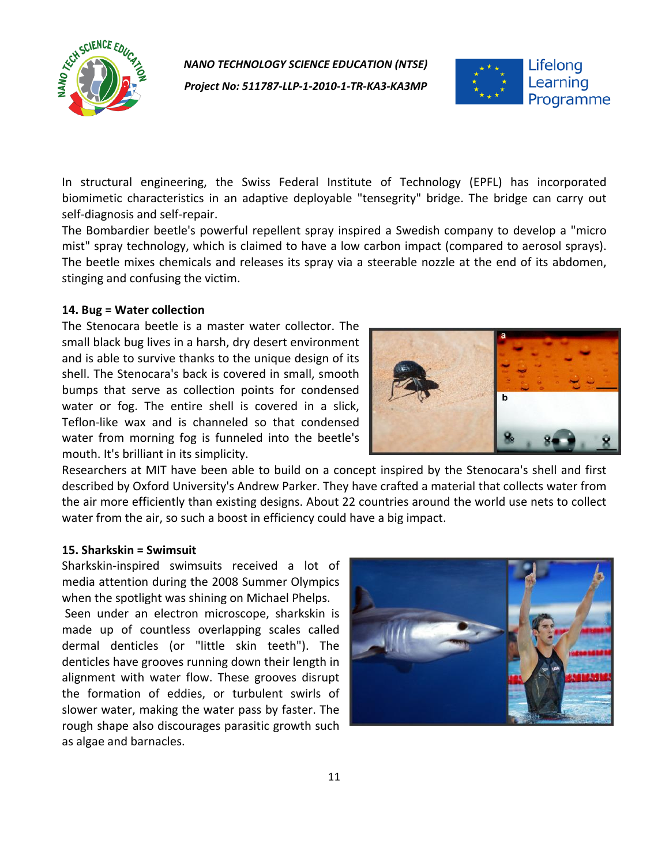



In structural engineering, the Swiss Federal Institute of Technology [\(EPFL\)](http://en.wikipedia.org/wiki/EPFL) has incorporated biomimetic characteristics in an adaptive deployable "tensegrity" bridge. The bridge can carry out self-diagnosis and self-repair.

The [Bombardier](http://en.wikipedia.org/wiki/Bombardier_beetle) beetle's powerful repellent spray inspired a Swedish company to develop a "micro mist" spray technology, which is claimed to have a low carbon impact (compared to aerosol sprays). The beetle mixes chemicals and releases its spray via a steerable nozzle at the end of its abdomen, stinging and confusing the victim.

#### **14. Bug = Water collection**

The Stenocara beetle is a master water collector. The small black bug lives in a harsh, dry desert environment and is able to survive thanks to the unique design of its shell. The Stenocara's back is covered in small, smooth bumps that serve as collection points for condensed water or fog. The entire shell is covered in a slick, Teflon-like wax and is channeled so that condensed water from morning fog is funneled into the beetle's mouth. It's brilliant in its simplicity.



Researchers at MIT have been able to build on a concept inspired by the [Stenocara's](http://www.nytimes.com/2006/06/27/science/27find.html?_r=1) shell and first described by Oxford University's Andrew Parker. They have crafted a material that collects water from the air more efficiently than existing designs. About 22 countries around the world use nets to collect water from the air, so such a boost in efficiency could have a big impact.

#### **15. Sharkskin = Swimsuit**

Sharkskin-inspired swimsuits received a lot of media attention during the 2008 Summer Olympics when the spotlight was shining on Michael Phelps. Seen under an electron microscope, sharkskin is made up of countless overlapping scales called dermal denticles (or "little skin teeth"). The denticles have grooves running down their length in alignment with water flow. These grooves disrupt the formation of eddies, or turbulent swirls of slower water, making the water pass by faster. The rough shape also discourages parasitic growth such as algae and barnacles.

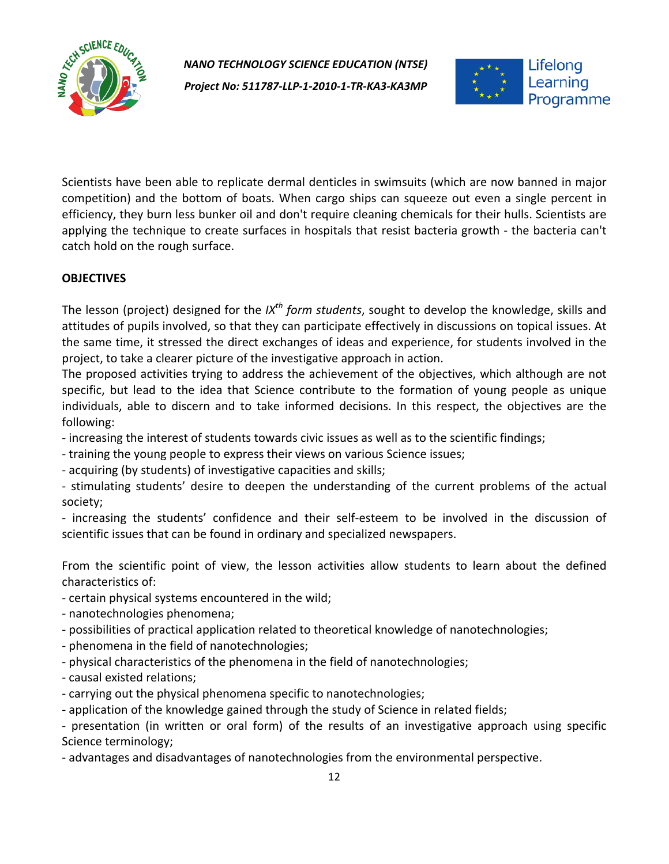



Scientists have been able to replicate dermal denticles in [swimsuits](http://dsc.discovery.com/news/2008/05/16/olympic-swimming-sharks.html) (which are now banned in major competition) and the bottom of boats. When cargo ships can squeeze out even a single percent in efficiency, they burn less bunker oil and don't require cleaning chemicals for their hulls. Scientists are applying the technique to create surfaces in hospitals that resist bacteria growth - the bacteria can't catch hold on the rough surface.

# **OBJECTIVES**

The lesson (project) designed for the *IXth form students*, sought to develop the knowledge, skills and attitudes of pupils involved, so that they can participate effectively in discussions on topical issues. At the same time, it stressed the direct exchanges of ideas and experience, for students involved in the project, to take a clearer picture of the investigative approach in action.

The proposed activities trying to address the achievement of the objectives, which although are not specific, but lead to the idea that Science contribute to the formation of young people as unique individuals, able to discern and to take informed decisions. In this respect, the objectives are the following:

- increasing the interest of students towards civic issues as well as to the scientific findings;

- training the young people to express their views on various Science issues;

- acquiring (by students) of investigative capacities and skills;

- stimulating students' desire to deepen the understanding of the current problems of the actual society;

- increasing the students' confidence and their self-esteem to be involved in the discussion of scientific issues that can be found in ordinary and specialized newspapers.

From the scientific point of view, the lesson activities allow students to learn about the defined characteristics of:

- certain physical systems encountered in the wild;
- nanotechnologies phenomena;
- possibilities of practical application related to theoretical knowledge of nanotechnologies;
- phenomena in the field of nanotechnologies;
- physical characteristics of the phenomena in the field of nanotechnologies;
- causal existed relations;
- carrying out the physical phenomena specific to nanotechnologies;
- application of the knowledge gained through the study of Science in related fields;

- presentation (in written or oral form) of the results of an investigative approach using specific Science terminology;

- advantages and disadvantages of nanotechnologies from the environmental perspective.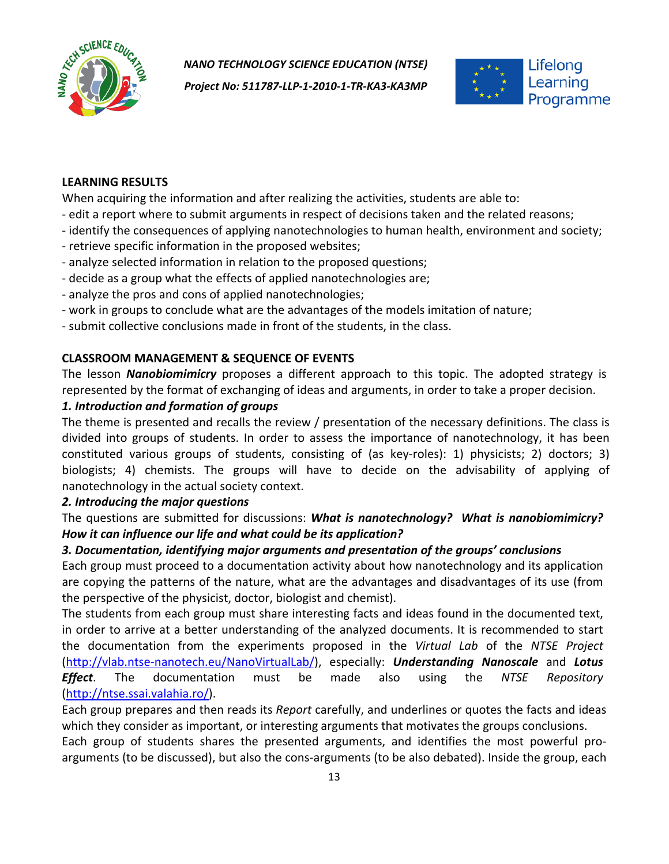![](_page_12_Picture_0.jpeg)

*Project No: 511787-LLP-1-2010-1-TR-KA3-KA3MP*

![](_page_12_Picture_3.jpeg)

## **LEARNING RESULTS**

When acquiring the information and after realizing the activities, students are able to:

- edit a report where to submit arguments in respect of decisions taken and the related reasons;
- identify the consequences of applying nanotechnologies to human health, environment and society;
- retrieve specific information in the proposed websites;
- analyze selected information in relation to the proposed questions;
- decide as a group what the effects of applied nanotechnologies are;
- analyze the pros and cons of applied nanotechnologies;
- work in groups to conclude what are the advantages of the models imitation of nature;
- submit collective conclusions made in front of the students, in the class.

#### **CLASSROOM MANAGEMENT & SEQUENCE OF EVENTS**

The lesson *Nanobiomimicry* proposes a different approach to this topic. The adopted strategy is represented by the format of exchanging of ideas and arguments, in order to take a proper decision.

#### *1. Introduction and formation of groups*

The theme is presented and recalls the review / presentation of the necessary definitions. The class is divided into groups of students. In order to assess the importance of nanotechnology, it has been constituted various groups of students, consisting of (as key-roles): 1) physicists; 2) doctors; 3) biologists; 4) chemists. The groups will have to decide on the advisability of applying of nanotechnology in the actual society context.

#### *2. Introducing the major questions*

# The questions are submitted for discussions: *What is nanotechnology? What is nanobiomimicry? How it can influence our life and what could be its application?*

## *3. Documentation, identifying major arguments and presentation of the groups' conclusions*

Each group must proceed to a documentation activity about how nanotechnology and its application are copying the patterns of the nature, what are the advantages and disadvantages of its use (from the perspective of the physicist, doctor, biologist and chemist).

The students from each group must share interesting facts and ideas found in the documented text, in order to arrive at a better understanding of the analyzed documents. It is recommended to start the documentation from the experiments proposed in the *Virtual Lab* of the *NTSE Project* [\(http://vlab.ntse-nanotech.eu/NanoVirtualLab/\)](http://vlab.ntse-nanotech.eu/NanoVirtualLab/), especially: *Understanding Nanoscale* and *Lotus Effect*. The documentation must be made also using the *NTSE Repository* [\(http://ntse.ssai.valahia.ro/\)](http://ntse.ssai.valahia.ro/).

Each group prepares and then reads its *Report* carefully, and underlines or quotes the facts and ideas which they consider as important, or interesting arguments that motivates the groups conclusions.

Each group of students shares the presented arguments, and identifies the most powerful proarguments (to be discussed), but also the cons-arguments (to be also debated). Inside the group, each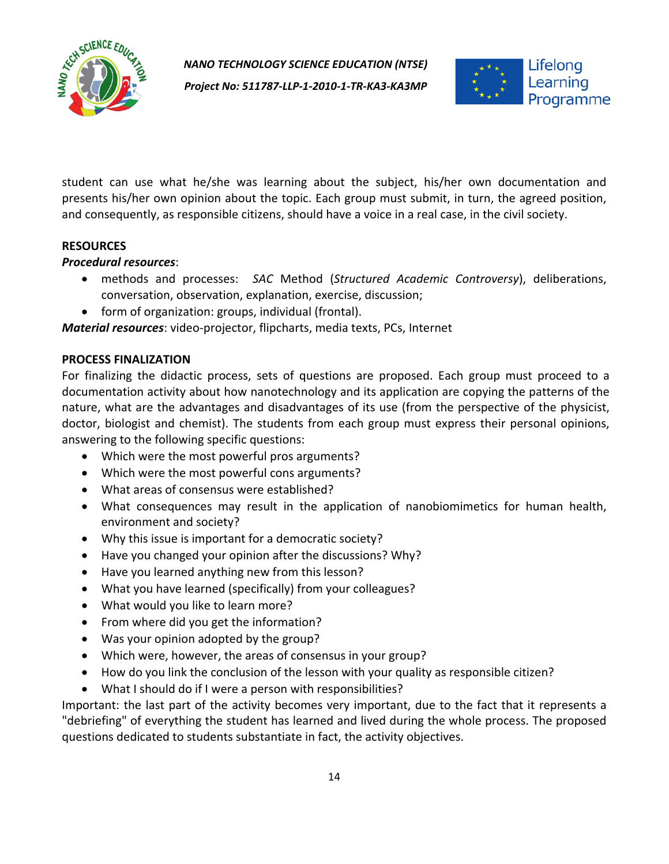![](_page_13_Picture_0.jpeg)

![](_page_13_Picture_2.jpeg)

student can use what he/she was learning about the subject, his/her own documentation and presents his/her own opinion about the topic. Each group must submit, in turn, the agreed position, and consequently, as responsible citizens, should have a voice in a real case, in the civil society.

## **RESOURCES**

## *Procedural resources*:

- methods and processes: *SAC* Method (*Structured Academic Controversy*), deliberations, conversation, observation, explanation, exercise, discussion;
- form of organization: groups, individual (frontal).

*Material resources*: video-projector, flipcharts, media texts, PCs, Internet

## **PROCESS FINALIZATION**

For finalizing the didactic process, sets of questions are proposed. Each group must proceed to a documentation activity about how nanotechnology and its application are copying the patterns of the nature, what are the advantages and disadvantages of its use (from the perspective of the physicist, doctor, biologist and chemist). The students from each group must express their personal opinions, answering to the following specific questions:

- Which were the most powerful pros arguments?
- Which were the most powerful cons arguments?
- What areas of consensus were established?
- What consequences may result in the application of nanobiomimetics for human health, environment and society?
- Why this issue is important for a democratic society?
- Have you changed your opinion after the discussions? Why?
- Have you learned anything new from this lesson?
- What you have learned (specifically) from your colleagues?
- What would you like to learn more?
- From where did you get the information?
- Was your opinion adopted by the group?
- Which were, however, the areas of consensus in your group?
- How do you link the conclusion of the lesson with your quality as responsible citizen?
- What I should do if I were a person with responsibilities?

Important: the last part of the activity becomes very important, due to the fact that it represents a "debriefing" of everything the student has learned and lived during the whole process. The proposed questions dedicated to students substantiate in fact, the activity objectives.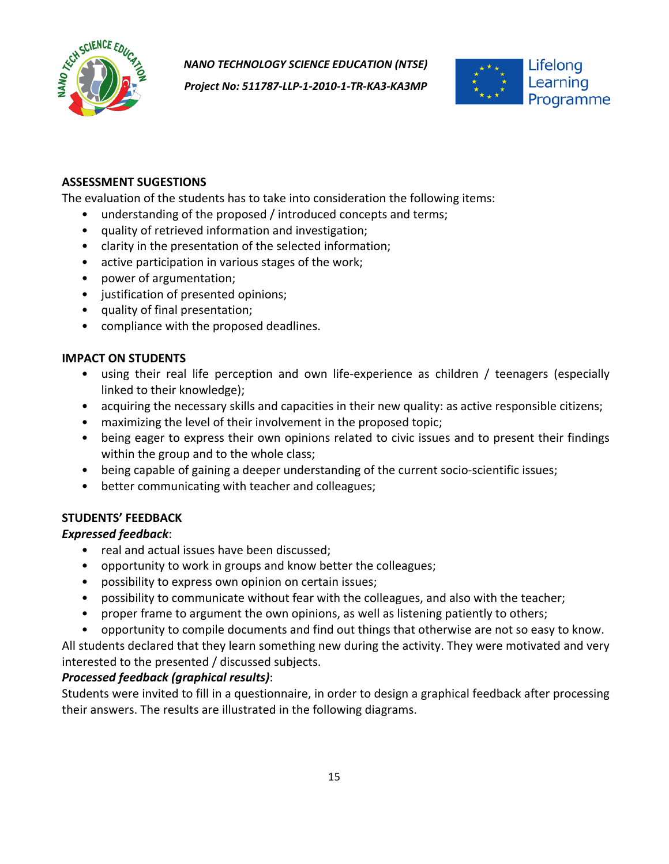![](_page_14_Picture_0.jpeg)

*Project No: 511787-LLP-1-2010-1-TR-KA3-KA3MP*

![](_page_14_Picture_3.jpeg)

## **ASSESSMENT SUGESTIONS**

The evaluation of the students has to take into consideration the following items:

- understanding of the proposed / introduced concepts and terms;
- quality of retrieved information and investigation;
- clarity in the presentation of the selected information;
- active participation in various stages of the work;
- power of argumentation;
- justification of presented opinions;
- quality of final presentation;
- compliance with the proposed deadlines.

## **IMPACT ON STUDENTS**

- using their real life perception and own life-experience as children / teenagers (especially linked to their knowledge);
- acquiring the necessary skills and capacities in their new quality: as active responsible citizens;
- maximizing the level of their involvement in the proposed topic;
- being eager to express their own opinions related to civic issues and to present their findings within the group and to the whole class;
- being capable of gaining a deeper understanding of the current socio-scientific issues;
- better communicating with teacher and colleagues;

# **STUDENTS' FEEDBACK**

## *Expressed feedback*:

- real and actual issues have been discussed;
- opportunity to work in groups and know better the colleagues;
- possibility to express own opinion on certain issues;
- possibility to communicate without fear with the colleagues, and also with the teacher;
- proper frame to argument the own opinions, as well as listening patiently to others;
- opportunity to compile documents and find out things that otherwise are not so easy to know.

All students declared that they learn something new during the activity. They were motivated and very interested to the presented / discussed subjects.

# *Processed feedback (graphical results)*:

Students were invited to fill in a questionnaire, in order to design a graphical feedback after processing their answers. The results are illustrated in the following diagrams.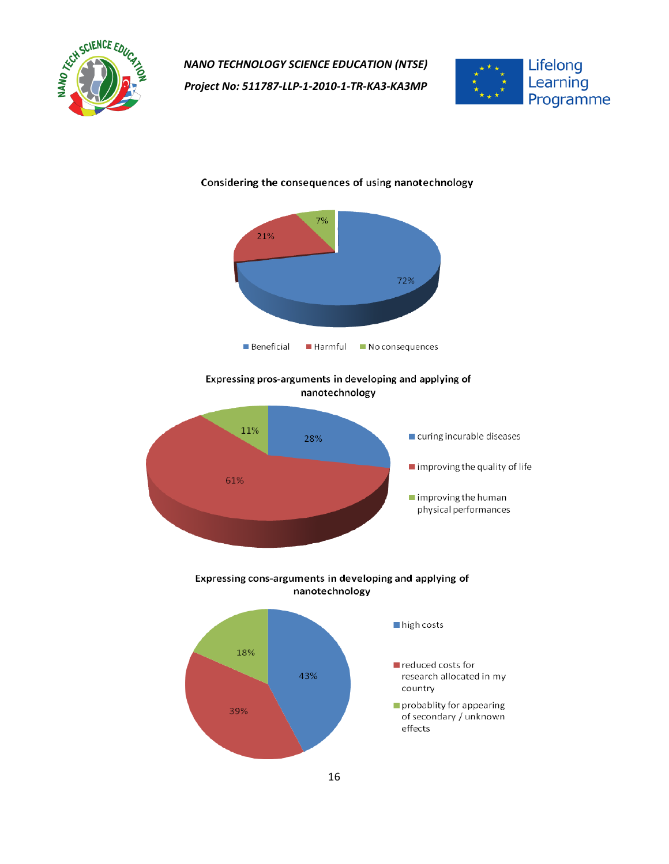![](_page_15_Picture_0.jpeg)

*Project No: 511787-LLP-1-2010-1-TR-KA3-KA3MP*

![](_page_15_Picture_3.jpeg)

![](_page_15_Figure_4.jpeg)

#### Considering the consequences of using nanotechnology

![](_page_15_Figure_6.jpeg)

![](_page_15_Figure_7.jpeg)

![](_page_15_Figure_8.jpeg)

![](_page_15_Figure_9.jpeg)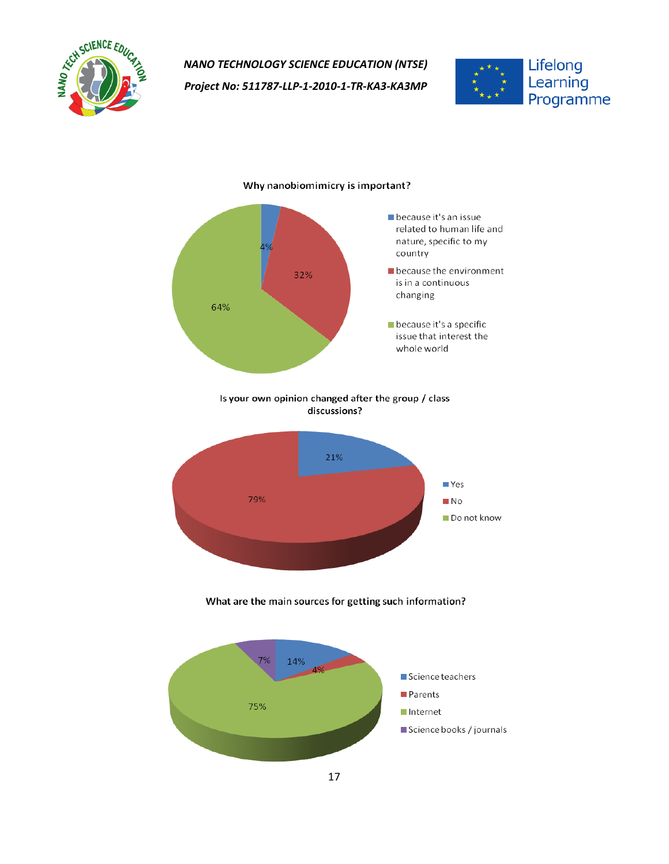![](_page_16_Picture_0.jpeg)

*Project No: 511787-LLP-1-2010-1-TR-KA3-KA3MP*

![](_page_16_Picture_3.jpeg)

![](_page_16_Figure_4.jpeg)

#### Why nanobiomimicry is important?

Is your own opinion changed after the group / class discussions?

![](_page_16_Figure_7.jpeg)

What are the main sources for getting such information?

![](_page_16_Figure_9.jpeg)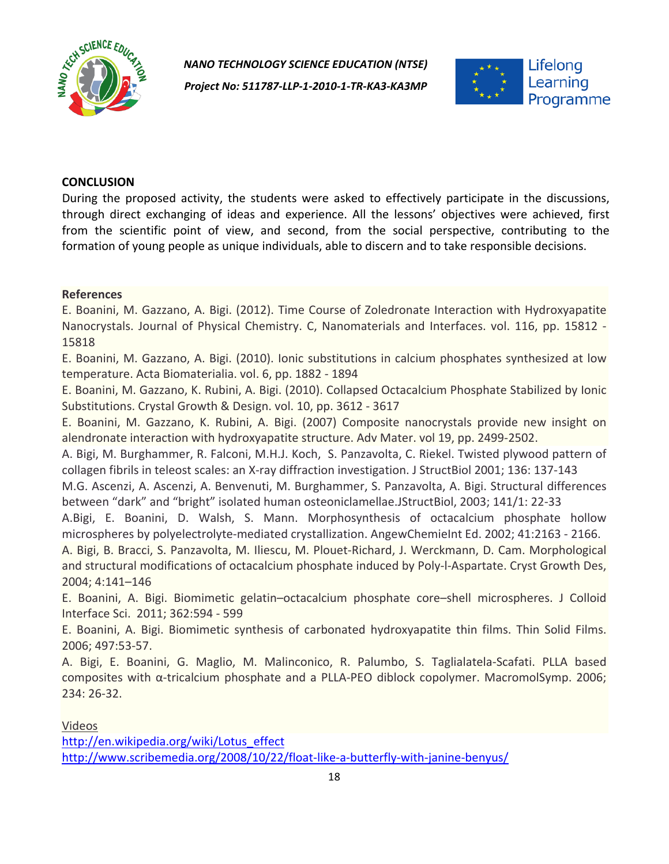![](_page_17_Picture_0.jpeg)

![](_page_17_Picture_2.jpeg)

#### **CONCLUSION**

During the proposed activity, the students were asked to effectively participate in the discussions, through direct exchanging of ideas and experience. All the lessons' objectives were achieved, first from the scientific point of view, and second, from the social perspective, contributing to the formation of young people as unique individuals, able to discern and to take responsible decisions.

#### **References**

E. Boanini, M. Gazzano, A. Bigi. (2012). Time Course of Zoledronate Interaction with Hydroxyapatite Nanocrystals. Journal of Physical Chemistry. C, Nanomaterials and Interfaces. vol. 116, pp. 15812 - 15818

E. Boanini, M. Gazzano, A. Bigi. (2010). Ionic substitutions in calcium phosphates synthesized at low temperature. Acta Biomaterialia. vol. 6, pp. 1882 - 1894

E. Boanini, M. Gazzano, K. Rubini, A. Bigi. (2010). Collapsed Octacalcium Phosphate Stabilized by Ionic Substitutions. Crystal Growth & Design. vol. 10, pp. 3612 - 3617

E. Boanini, M. Gazzano, K. Rubini, A. Bigi. (2007) Composite nanocrystals provide new insight on alendronate interaction with hydroxyapatite structure. Adv Mater. vol 19, pp. 2499-2502.

A. Bigi, M. Burghammer, R. Falconi, M.H.J. Koch, S. Panzavolta, C. Riekel. Twisted plywood pattern of collagen fibrils in teleost scales: an X-ray diffraction investigation. J StructBiol 2001; 136: 137-143

M.G. Ascenzi, A. Ascenzi, A. Benvenuti, M. Burghammer, S. Panzavolta, A. Bigi. Structural differences between "dark" and "bright" isolated human osteoniclamellae.JStructBiol, 2003; 141/1: 22-33

A.Bigi, E. Boanini, D. Walsh, S. Mann. Morphosynthesis of octacalcium phosphate hollow microspheres by polyelectrolyte-mediated crystallization. AngewChemieInt Ed. 2002; 41:2163 - 2166.

A. Bigi, B. Bracci, S. Panzavolta, M. Iliescu, M. Plouet-Richard, J. Werckmann, D. Cam. Morphological and structural modifications of octacalcium phosphate induced by Poly-l-Aspartate. Cryst Growth Des, 2004; 4:141–146

E. Boanini, A. Bigi. Biomimetic gelatin–octacalcium phosphate core–shell microspheres. J Colloid Interface Sci. 2011; 362:594 - 599

E. Boanini, A. Bigi. Biomimetic synthesis of carbonated hydroxyapatite thin films. Thin Solid Films. 2006; 497:53-57.

A. Bigi, E. Boanini, G. Maglio, M. Malinconico, R. Palumbo, S. Taglialatela-Scafati. PLLA based composites with α-tricalcium phosphate and a PLLA-PEO diblock copolymer. MacromolSymp. 2006; 234: 26-32.

Videos

[http://en.wikipedia.org/wiki/Lotus\\_effect](http://en.wikipedia.org/wiki/Lotus_effect) <http://www.scribemedia.org/2008/10/22/float-like-a-butterfly-with-janine-benyus/>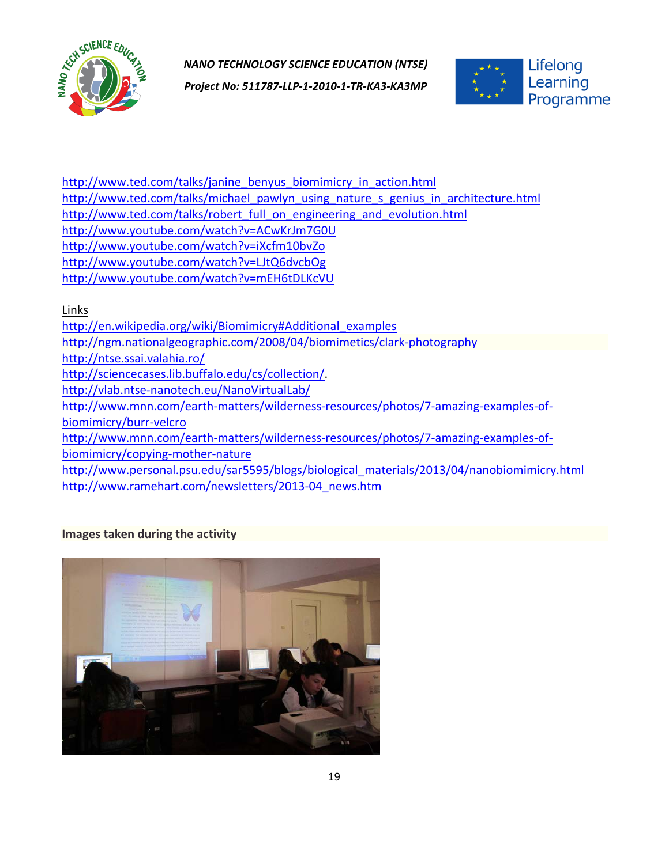![](_page_18_Picture_0.jpeg)

*Project No: 511787-LLP-1-2010-1-TR-KA3-KA3MP*

![](_page_18_Picture_3.jpeg)

[http://www.ted.com/talks/janine\\_benyus\\_biomimicry\\_in\\_action.html](http://www.ted.com/talks/janine_benyus_biomimicry_in_action.html) [http://www.ted.com/talks/michael\\_pawlyn\\_using\\_nature\\_s\\_genius\\_in\\_architecture.html](http://www.ted.com/talks/michael_pawlyn_using_nature_s_genius_in_architecture.html) [http://www.ted.com/talks/robert\\_full\\_on\\_engineering\\_and\\_evolution.html](http://www.ted.com/talks/robert_full_on_engineering_and_evolution.html) <http://www.youtube.com/watch?v=ACwKrJm7G0U> <http://www.youtube.com/watch?v=iXcfm10bvZo> <http://www.youtube.com/watch?v=LJtQ6dvcbOg> <http://www.youtube.com/watch?v=mEH6tDLKcVU>

## Links

[http://en.wikipedia.org/wiki/Biomimicry#Additional\\_examples](http://en.wikipedia.org/wiki/Biomimicry#Additional_examples) <http://ngm.nationalgeographic.com/2008/04/biomimetics/clark-photography> <http://ntse.ssai.valahia.ro/> [http://sciencecases.lib.buffalo.edu/cs/collection/.](http://sciencecases.lib.buffalo.edu/cs/collection/) <http://vlab.ntse-nanotech.eu/NanoVirtualLab/> [http://www.mnn.com/earth-matters/wilderness-resources/photos/7-amazing-examples-of](http://www.mnn.com/earth-matters/wilderness-resources/photos/7-amazing-examples-of-biomimicry/burr-velcro)[biomimicry/burr-velcro](http://www.mnn.com/earth-matters/wilderness-resources/photos/7-amazing-examples-of-biomimicry/burr-velcro) [http://www.mnn.com/earth-matters/wilderness-resources/photos/7-amazing-examples-of](http://www.mnn.com/earth-matters/wilderness-resources/photos/7-amazing-examples-of-biomimicry/copying-mother-nature)[biomimicry/copying-mother-nature](http://www.mnn.com/earth-matters/wilderness-resources/photos/7-amazing-examples-of-biomimicry/copying-mother-nature) [http://www.personal.psu.edu/sar5595/blogs/biological\\_materials/2013/04/nanobiomimicry.html](http://www.personal.psu.edu/sar5595/blogs/biological_materials/2013/04/nanobiomimicry.html) http://www.ramehart.com/newsletters/2013-04 news.htm

# **Images taken during the activity**

![](_page_18_Picture_8.jpeg)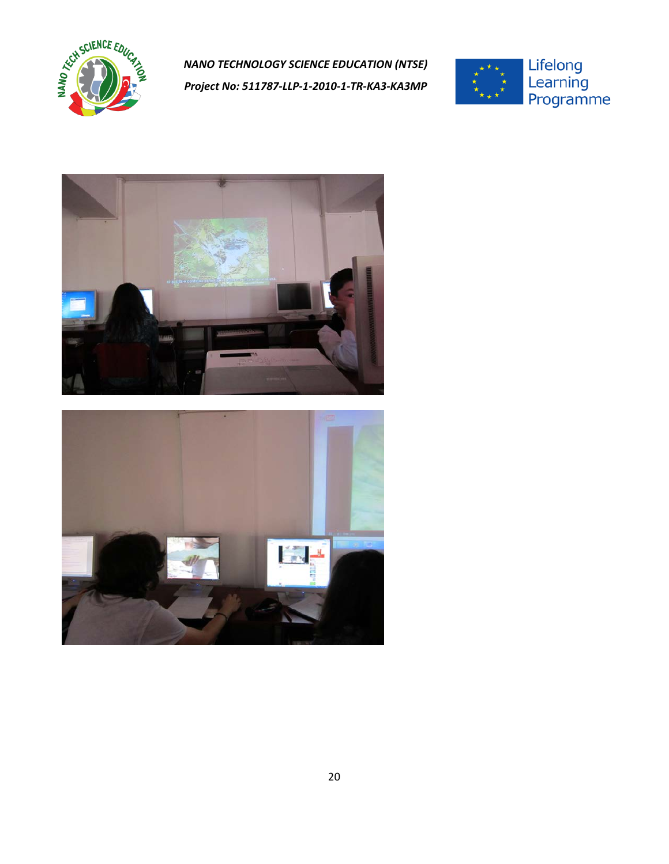![](_page_19_Picture_0.jpeg)

![](_page_19_Picture_2.jpeg)

![](_page_19_Picture_3.jpeg)